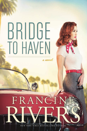# BRIDGE **TO HAVEN**

# FRANCIN

a novel

NEW YORK TIMES BESTSELLING AUTH OR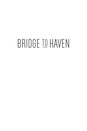### BRIDGE IO HAVEN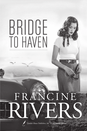## BRIDGE **TO HAVEN**

# FRANCINE RIVERS



*Tyndale House Publishers, Inc., Carol Stream, Illinois*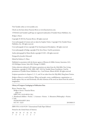Visit Tyndale online at www.tyndale.com.

Check out the latest about Francine Rivers at www.francinerivers.com.

*TYNDALE* and Tyndale's quill logo are registered trademarks of Tyndale House Publishers, Inc.

*Bridge to Haven*

Copyright © 2014 by Francine Rivers. All rights reserved.

Cover photograph of woman and car taken by Stephen Vosloo. Copyright © by Tyndale House Publishers, Inc. All rights reserved.

Cover photograph of trees copyright © by franckreporter/iStockphoto. All rights reserved.

Cover photograph of bridge copyright © by Steve Knox. Used by permission.

Author photograph by Elaina Burdo copyright © 2011. All rights reserved.

Designed by Jennifer Ghionzoli

Edited by Kathryn S. Olson

Published in association with the literary agency of Browne & Miller Literary Associates, LLC, 410 Michigan Avenue, Suite 460, Chicago, IL 60605.

Unless otherwise indicated, all Scripture quotations are taken from the *Holy Bible*, New Living Translation, copyright © 1996, 2004, 2007, 2013 by Tyndale House Foundation. Used by permission of Tyndale House Publishers, Inc., Carol Stream, Illinois 60188. All rights reserved.

Scripture quotations in chapters 3, 5, 11, and 16 are taken from the *Holy Bible*, King James Version.

*Bridge to Haven* is a work of fiction. Where real people, events, establishments, organizations, or locales appear, they are used fictitiously. All other elements of the novel are drawn from the author's imagination.

### **Library of Congress Cataloging-in-Publication Data**

Rivers, Francine, date. Bridge to haven / Francine Rivers. pages cm. ISBN 978-1-4143-6818-4 (hc) 1. Abandoned children—Fiction. 2. Actresses—Fiction. 3. Alienation (Philosophy)—Fiction. I. Title. PS3568.I83165B75 2014 813'.54—dc23 2013040115

ISBN 978-1-4143-9139-7 (International Trade Paper Edition)

Printed in the United States of America

20 19 18 17 16 15 14 7 6 5 4 3 2 1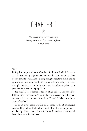### Chapter 1 «

*Yes, you have been with me from birth; from my mother's womb you have cared for me.* Psalm 71:6

### 1936

Filling his lungs with cool October air, Pastor Ezekiel Freeman started his morning vigil. He had laid out the route on a map when he first came to town. Each building brought people to mind, and he upheld them before the Lord, giving thanks for trials they had come through, praying over trials they now faced, and asking God what part he might play in helping them.

He headed for Thomas Jefferson High School. He passed by Eddie's Diner, the students' favorite hangout place. The lights were on inside. Eddie came to the front door. "Mornin', Zeke. How about a cup of coffee?"

Zeke sat at the counter while Eddie made stacks of hamburger patties. They talked high school football, and who might win a scholarship. Zeke thanked Eddie for the coffee and conversation and headed out into the dark again.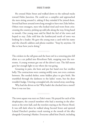He crossed Main Street and walked down to the railroad tracks toward Hobo Junction. He could see a campfire and approached the men sitting around it, asking if they minded if he joined them. Several had been around town long enough to have met Zeke before. Others were strangers, men who looked tired and worn from crisscrossing the country, picking up odd jobs along the way, living hand to mouth. One young man said he liked the feel of the town and hoped to stay. Zeke told him the lumberyard north of town was looking for a loader. He gave the young man a card with his name and the church's address and phone number. "Stop by anytime. I'd like to hear how you're doing."

The crickets in the tall grass and the hoot owl in a towering pine fell silent as a car pulled into Riverfront Park, stopping near the restrooms. A young woman got out of the driver's seat. The full moon gave her enough light to see where she was going.

Groaning in pain, she bent and put her hand over her swollen belly. The contractions were coming swiftly now, not even a minute between. She needed shelter, some hidden place to give birth. She stumbled through the darkness to the ladies' room, but the door wouldn't budge. Uttering a strangled sob, she turned away, searching.

Why had she driven so far? Why hadn't she checked into a motel? Now it was too late.

The town square was next on Zeke's route. He prayed for each of the shopkeepers, the council members who had a meeting in the afternoon at the town hall, and the travelers staying at the Haven Hotel. It was still dark when he walked along Second Street and spotted Leland Dutcher's produce truck turning at the mouth of the alley alongside Gruening's Market. Everyone called him Dutch, including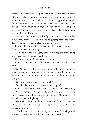his wife, who was in the hospital, suffering through the last stages of cancer. Zeke had sat with her several times and knew she grieved more about her husband's lack of faith than her approaching death. "I know where I'm going. I'm more worried about where Dutch will end up." The man worked six days a week and saw no need to spend the seventh in church. In truth, he was mad at God and didn't want to give Him the time of day.

The truck's brakes squealed briefly as it stopped. Dutch rolled down his window. "Cold morning to be gadding about the streets, Pastor. Have a girlfriend tucked away somewhere?"

Ignoring the sarcasm, Zeke pushed his cold hands into his pockets. "This is the best time to pray."

"Well, hellfire and hallelujah, don't let me stop you from doing your business." He barked a hard laugh.

Zeke came closer. "I saw Sharon yesterday."

Dutch let out his breath. "Then you know she's not doing too well."

"No. She's not." Unless there was a miracle, she didn't have much time left. She would rest easier if she weren't so worried about her husband, but saying so right now would only make Dutch more belligerent.

"Go ahead, Pastor. Invite me to church."

"You already know the invitation is always open."

Dutch wilted slightly. "She's been after me for years. Right now, all I feel like doing is spitting in God's face. She's a good woman, the best I've ever known. If anyone deserves a miracle, Sharon does. Tell me what help God is giving her?"

"Her body will die, Dutch, but Sharon won't." He saw the flicker of pain and knew the man wasn't ready to listen to more. "Want help unloading the truck?"

"Thanks, but I think I can manage on my own." Dutch ground the gears, uttered a vile word, and drove down the alley.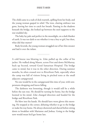The child came in a rush of slick warmth, spilling from her body, and the young woman gasped in relief. The iron, clawing embrace was gone, leaving her time to catch her breath. Panting in the shadows beneath the bridge, she looked up between the steel supports to the star-studded sky.

The baby lay pale and perfect in the moonlight, on a dark blanket of earth. It was too dark to see whether it was a boy or girl, but then, what did that matter?

Body feverish, the young woman struggled out of her thin sweater and laid it over the infant.

A cold breeze was blowing in. Zeke pulled up the collar of his jacket. He walked along Mason, across First and down McMurray, back up Second, toward Good Samaritan Hospital. The bridge came to mind, but it was in the other direction. During summer months, he often crossed over to Riverfront Park, especially when the camp was full of visitors living in pitched tents at the small adjacent campground.

No one would be in the campground this time of year, with temperatures dropping and leaves falling.

The darkness was loosening, though it would still be a while before the sun rose. He should be turning for home, but the bridge loomed in his mind. Zeke changed direction and headed for the bridge and Riverfront Park.

He blew into his hands. He should have worn gloves this morning. He stopped at the corner, debating whether to go to the bridge or make his way home. He always showered and shaved before sitting down to breakfast with Marianne and Joshua. Going to the bridge now would mean he'd get home late.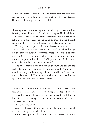He felt a sense of urgency. Someone needed help. It would only take ten minutes to walk to the bridge, less if he quickened his pace. He wouldn't have any peace unless he did.

Shivering violently, the young woman rolled up her car window, knowing she would never be free of guilt and regret. Her hand shook as she turned the key she had left in the ignition. She just wanted to get away from this place. She wanted to cover her head and forget everything that had happened, everything she had done wrong.

Turning the steering wheel, she pressed down too hard on the gas. The car skidded to one side, sending a rush of adrenaline through her. She corrected quickly, as the wheels shot pebbles like bullets into the park. Slowing, she turned right, toward the main road, staring ahead through tear-blurred eyes. She'd go north and find a cheap motel. Then she'd decide how to kill herself.

The breeze moved down over the sandy beach and beneath the bridge. No longer in the protected warmth of a mother's womb, the abandoned baby felt the stinging cold of the world. A soft cry came, then a plaintive wail. The sound carried across the water, but no lights went on in the houses above the river.

The steel Pratt trusses rose above the trees. Zeke crossed the old river road and took the walkway over the bridge. He stopped halfway across and leaned on the railing. The river rippled beneath him. It had rained a few days ago, leaving the beach smooth and packed. The place was deserted.

### *Why am I here, Lord?*

Zeke straightened, still troubled. He waited another moment and then turned away. Time to head home.

A soft mewling mingled with the sounds of the river. What was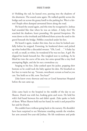it? Holding the rail, he leaned over, peering into the shadows of the abutment. The sound came again. He walked quickly across the bridge and cut across the grassy knoll to the parking lot. Was it a kitten? People often dumped unwanted litters along the road.

He heard the sound again, and this time he recognized it. Joshua had sounded like that when he was an infant. *A baby, here?* He searched the shadows, heart pounding. He spotted footprints. He went down to the riverbank and followed them across the sand to the gravel beneath the bridge. Pebbles crunched under his feet.

He heard it again, weaker this time, but so close he looked carefully before he stepped. Frowning, he hunkered down and picked up what looked like a discarded sweater. "Oh, Lord . . ." A baby lay so still, so small, so white, he wondered if he was too late. A girl. He slipped his hands beneath her. She weighed next to nothing. As he lifted her into the curve of his arm, her arms spread like a tiny bird attempting flight, and she let out a tremulous cry.

Surging to his feet, Zeke yanked open his jacket, popping shirt buttons so he could tuck the baby against his skin. He breathed on her face to warm her up. "Scream, sweetheart; scream as loud as you can. You hold on to life, now. You hear?"

Zeke knew every shortcut and was at Good Samaritan Hospital before the sun came up.

Zeke came back to the hospital in the middle of the day to see Sharon. Dutch was with her, looking grim and worn. He held his wife's frail hand between his and didn't speak. Zeke spoke to both of them. When Sharon held out her hand, he took it and prayed for her and for Dutch.

He couldn't leave without going back to the nursery. He shouldn't have been surprised to see Marianne standing outside the window, her arm around five-year-old Joshua. He felt tenderness and pride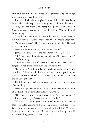well up inside him. Their son was all gangly arms, long skinny legs with knobby knees and big feet.

Joshua put his hands on the glass. "She's so little, Daddy. Was I that little?" The tiny baby girl slept soundly in a small hospital bassinet.

"No, Son. You were a whopping nine pounds." The look on Marianne's face concerned him. He took her hand. "We should head home, honey."

"Thank God you found her, Zeke. What would have happened to her if you hadn't?" Marianne looked at him. "We should adopt her."

"You know we can't. They'll find someone to take her." He tried to lead her away.

Marianne wouldn't budge. "Who better than us?"

Joshua joined in. "You found her, Daddy. Finders, keepers."

"She's not a penny I found on a sidewalk, Son. She needs a family." "We're a family."

"You know what I mean." He cupped Marianne's cheek. "You've forgotten what it was like to take care of a new baby."

"I'm up to it, Zeke. I know I am. Why shouldn't she be ours?" She drew back. "Please don't look at me like that. I'm stronger than you think." Her eyes filled before she turned. "Just look at her. Doesn't she break your heart?"

He did look, and his heart softened. But he had to be practical. "We should go."

Marianne squeezed his hand. "Pure, genuine religion in the sight of God is shown by caring for widows *and orphans*."

"Don't use Scripture against me when it's you I'm trying to protect." Joshua looked up. "Protect from what, Daddy?"

"Nothing." Marianne gave Zeke a quelling glance. "It's just an idea your daddy got into his head a long time ago. He'll get over it. God put her in your arms, Zeke. Don't tell me He didn't." Marianne looked at him with doe eyes. "We have our boy. A little girl would make everything perfect. Haven't I said so?"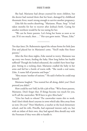She had. Marianne had always yearned for more children, but the doctor had warned them that her heart, damaged by childhood rheumatic fever, wasn't strong enough to survive another pregnancy.

Zeke felt his resolve dissolving. "Marianne. Please. Stop." It had taken months for her to recover after Joshua's birth. Caring for another newborn would be far too taxing for her.

"We can be foster parents. Let's bring her home as soon as we can. If it's too much, then . . ." Her eyes grew moist. "Please, Zeke."

Ten days later, Dr. Rubenstein signed the release forms for little Jane Doe and placed her in Marianne's arms. "You'll make fine foster parents."

After the first three nights, Zeke started to worry. Marianne was up every two hours, feeding the baby. How long before her health suffered? Though she looked exhausted, she couldn't have been happier. Sitting in a rocking chair, Marianne cradled the baby in her arms and fed her a bottle of warm milk. "She needs a real name, Zeke. A name full of promise and hope."

"Abra means 'mother of nations.'" He said it before he could stop himself.

Marianne laughed. "You wanted her all along, didn't you? Don't pretend you didn't."

How could he not? Still, he felt a jab of fear. "We're foster parents, Marianne. Don't forget that. If things become too much for you, we'll call the caseworker. We'll have to give Abra back."

"Give her back to whom? The caseworker wants this to work. And I don't think there's anyone in town who'd take Abra away from us now. Do you?" Peter Matthews, a teacher at the local elementary school, and his wife, Priscilla, had expressed interest early on, but with an infant of their own, they had agreed Abra should stay with the Freemans if they were able to handle it.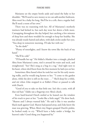Marianne set the empty bottle aside and raised the baby to her shoulder. "We'll need to save money so we can add another bedroom. Abra won't be a baby for long. She'll be in a crib, then a regular bed. She'll need a room of her own."

There was no reasoning with her. All of Marianne's motherly instincts had kicked in, but each day wore her down a little more. Catnapping throughout the day helped, but catching a few minutes of sleep here and there wouldn't be enough to keep her healthy. She was already tousle-haired and ashen, with dark circles under her eyes. "You sleep in tomorrow morning. I'll take her with me."

"In the dark?"

"Plenty of streetlights, and I know the town like the back of my hand."

"She'll be cold."

"I'll bundle her up." He folded a blanket into a triangle, plucked Abra from Marianne's arms, tied it around his waist and neck, and straightened. "See? She's snug as a bug in a rug." And right next to his heart, where she'd been from the first moment he laid eyes on her.

Sometimes Abra fussed when he took her out for his early morning walks, and he would sing hymns to her. "'I come to the garden alone, while the dew is still on the roses . . .'" She'd sleep for a while, and stir when Zeke stopped in at Eddie's Diner or paused to talk with Dutch.

"Good of you to take on that little one. Isn't she a cutie, with all that red hair." Eddie ran a fingertip over Abra's cheek.

Even hard- hearted Dutch smiled as he leaned out the window of his truck to peer at her. "Looks like a little angel." He drew back. "Sharon and I always wanted kids." He said it like it was another black mark against God. Sharon had passed away, and Zeke knew the man was grieving. When Abra's tiny fingers grasped Dutch's pinkie, he looked ready to cry. "Who'd leave a baby under a bridge, for heaven's sake? Good thing you happened by."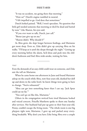"It was no accident, me going there that morning."

"How so?" Dutch's engine rumbled in neutral.

"I felt impelled to go. God does that sometimes."

Dutch looked pained. "Well, I won't speculate. No question that little girl needed someone that morning or she'd be dead and buried by now." Like Sharon, his eyes said.

"If you ever want to talk, Dutch, just call."

"Better just give up on me."

"Sharon didn't. Why should I?"

As Abra grew, she slept longer between feedings, and Marianne got more sleep. Even so, Zeke didn't give up carrying Abra on his walks. "I'll keep at it until she sleeps through the night." Getting up every morning before the alarm, he'd dress and peek into the children's bedroom and find Abra wide-awake, waiting for him.

### 1941

Even the demands of an easy child could wear on someone, and Zeke saw the toll on Marianne.

When he came home one afternoon in June and found Marianne asleep on the couch while Abra, now four years old, dunked her doll up and down in the toilet bowl, he knew things were going to have to change. "You're exhausted."

"Abra can get into something faster than I can say, 'Jack Sprat could eat no fat.'"

"You can't go on like this, Marianne."

Others in the congregation noticed how tired Marianne looked and voiced concern. Priscilla Matthews spoke to them one Sunday after services. Her husband had put up gates so their four-year-old, Penny, couldn't escape the living room. "The whole room is one big playpen right now, Marianne. I gave up and packed away everything breakable. Why don't you have Zeke bring Abra over a couple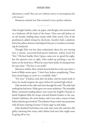afternoons a week? You can rest without worry or interruptions for a few hours."

Marianne resisted, but Zeke insisted it was a perfect solution.

Zeke bought lumber, nails, tar paper, and shingles and started work on a bedroom off the back of the house. Nine-year-old Joshua sat on the boards, holding them steady while Zeke sawed. One of the parishioners added wiring for electricity. Another built a platform bed with pullout drawers and helped Zeke put in windows overlooking the backyard.

Though Zeke was less than enthusiastic about his son moving into a narrow, converted- back- porch bedroom, Joshua loved his "fort." His best buddy, Davy Upton, came over to spend the night, but the quarters were so tight, Zeke ended up pitching a tent for them on the back lawn. When he came back inside, he slumped into his easy chair. "The fort is too small."

Marianne smiled, Abra tucked close beside her in the easy chair, a book of Bible stories open. "I don't hear Joshua complaining. Those boys sound happy as crows in a cornfield, Zeke."

"For now." If Joshua took after his father, and his uncles back in Iowa, he would outgrow the space before he reached high school.

Zeke turned on the radio and went through the mail. The radio had nothing but bad news. Hitler grew ever more ambitious. The insatiable führer continued sending planes west across the English Channel to bomb England while his troops stormed Russia's borders to the east. Charles Lydickson, the town banker, said it was only a matter of time before America got involved. The Atlantic Ocean wasn't any protection with all those roaming German U-boats eager to sink ships.

Zeke thanked God Joshua was only nine years old, and then felt guilty, knowing how many other fathers had sons who might soon be going off to war.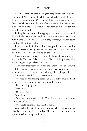When Marianne finished reading the story of David and Goliath, she pressed Abra closer. The child was half-asleep, and Marianne looked too weary to rise. When she tried, Zeke came out of his seat. "Let me tuck her in tonight." He lifted Abra away from Marianne's side. The child melted against him, her head on his shoulder, her thumb in her mouth.

Pulling the covers up and snuggling them around her, he bowed his head. She made prayer hands, and he put his around hers. "Our Father, who art in heaven . . ." When they finished, he leaned down and kissed her. "Sleep tight."

Before he could raise his head, she wrapped her arms around his neck. "I love you, Daddy." He said he loved her, too. He kissed each cheek and her forehead before he left the room.

Marianne looked wilted. He frowned. She shook her head, smiling faintly. "I'm fine, Zeke. Just tired. There's nothing wrong with me that a good night's sleep won't cure."

Zeke knew that wasn't true when she started to rise and swayed slightly. He caught her up in his arms and carried her into their bedroom, then sat on the bed with her in his lap. "I'm calling the doctor."

"You know what he'll say." She started to cry.

"We need to start making other plans." He didn't have the heart to say it any other way, but she knew what he meant.

"I'm not giving up Abra."

"Marianne . . ."

"She needs me."

"*I* need you."

"You love her as much as I do, Zeke. How can you even think about giving her away?"

"We should never have brought her home."

Zeke rocked his wife for a moment, then helped her remove her chenille robe and settled her in bed. He kissed her and turned out the light before closing the door.

1 2